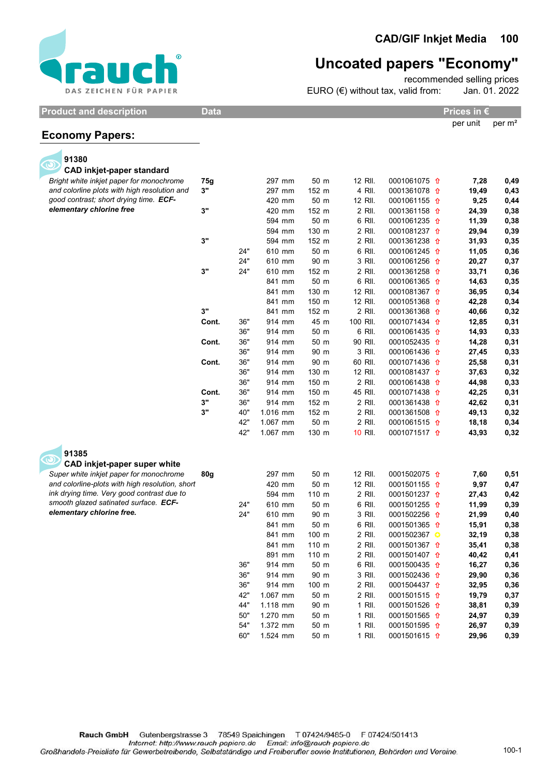

## Uncoated papers "Economy"

recommended selling prices

EURO (€) without tax, valid from: Jan. 01. 2022

Product and description and Data Product and description and Data Prices in €

| per unit | per $m2$ |
|----------|----------|

## Economy Papers:

| 91380                                           |       |     |          |       |          |                         |       |      |
|-------------------------------------------------|-------|-----|----------|-------|----------|-------------------------|-------|------|
| <b>CAD inkjet-paper standard</b>                |       |     |          |       |          |                         |       |      |
| Bright white inkjet paper for monochrome        | 75g   |     | 297 mm   | 50 m  | 12 RII.  | 0001061075 1            | 7,28  | 0,49 |
| and colorline plots with high resolution and    | 3"    |     | 297 mm   | 152 m | 4 RII.   | 0001361078 1            | 19,49 | 0,43 |
| good contrast; short drying time. ECF-          |       |     | 420 mm   | 50 m  | 12 RII.  | 0001061155 <del>1</del> | 9,25  | 0,44 |
| elementary chlorine free                        | 3"    |     | 420 mm   | 152 m | 2 RII.   | 0001361158 1            | 24,39 | 0,38 |
|                                                 |       |     | 594 mm   | 50 m  | 6 RII.   | 0001061235 1            | 11,39 | 0,38 |
|                                                 |       |     | 594 mm   | 130 m | 2 RII.   | 0001081237 1            | 29,94 | 0,39 |
|                                                 | 3"    |     | 594 mm   | 152 m | 2 RII.   | 0001361238 1            | 31,93 | 0,35 |
|                                                 |       | 24" | 610 mm   | 50 m  | 6 RII.   | 0001061245 1            | 11,05 | 0,36 |
|                                                 |       | 24" | 610 mm   | 90 m  | 3 RII.   | 0001061256 1            | 20,27 | 0,37 |
|                                                 | 3"    | 24" | 610 mm   | 152 m | 2 RII.   | 0001361258 1            | 33,71 | 0,36 |
|                                                 |       |     | 841 mm   | 50 m  | 6 RII.   | 0001061365 1            | 14,63 | 0,35 |
|                                                 |       |     | 841 mm   | 130 m | 12 RII.  | 0001081367 1            | 36,95 | 0,34 |
|                                                 |       |     | 841 mm   | 150 m | 12 RII.  | 0001051368 1            | 42,28 | 0,34 |
|                                                 | 3"    |     | 841 mm   | 152 m | 2 RII.   | 0001361368 1            | 40,66 | 0,32 |
|                                                 | Cont. | 36" | 914 mm   | 45 m  | 100 RII. | 0001071434 1            | 12,85 | 0,31 |
|                                                 |       | 36" | 914 mm   | 50 m  | 6 RII.   | 0001061435 <del>1</del> | 14,93 | 0,33 |
|                                                 | Cont. | 36" | 914 mm   | 50 m  | 90 RII.  | 0001052435 <del>1</del> | 14,28 | 0,31 |
|                                                 |       | 36" | 914 mm   | 90 m  | 3 RII.   | 0001061436 <del>1</del> | 27,45 | 0,33 |
|                                                 | Cont. | 36" | 914 mm   | 90 m  | 60 RII.  | 0001071436 1            | 25,58 | 0,31 |
|                                                 |       | 36" | 914 mm   | 130 m | 12 RII.  | 0001081437 1            | 37,63 | 0,32 |
|                                                 |       | 36" | 914 mm   | 150 m | 2 RII.   | 0001061438 1            | 44,98 | 0,33 |
|                                                 | Cont. | 36" | 914 mm   | 150 m | 45 RII.  | 0001071438 1            | 42,25 | 0,31 |
|                                                 | 3"    | 36" | 914 mm   | 152 m | 2 RII.   | 0001361438 1            | 42,62 | 0,31 |
|                                                 | 3"    | 40" | 1.016 mm | 152 m | 2 RII.   | 0001361508 <del>1</del> | 49,13 | 0,32 |
|                                                 |       | 42" | 1.067 mm | 50 m  | 2 RII.   | 0001061515 1            | 18,18 | 0,34 |
|                                                 |       | 42" | 1.067 mm | 130 m | 10 RII.  | 0001071517 1            | 43,93 | 0,32 |
|                                                 |       |     |          |       |          |                         |       |      |
| 91385                                           |       |     |          |       |          |                         |       |      |
| CAD inkjet-paper super white                    |       |     |          |       |          |                         |       |      |
| Super white inkjet paper for monochrome         | 80g   |     | 297 mm   | 50 m  | 12 RII.  | 0001502075 1            | 7,60  | 0,51 |
| and colorline-plots with high resolution, short |       |     | 420 mm   | 50 m  | 12 RII.  | 0001501155 <del>1</del> | 9,97  | 0,47 |
| ink drying time. Very good contrast due to      |       |     | 594 mm   | 110 m | 2 RII.   | 0001501237 1            | 27,43 | 0,42 |
| smooth glazed satinated surface. ECF-           |       | 24" | 610 mm   | 50 m  | 6 RII.   | 0001501255 1            | 11,99 | 0,39 |
| elementary chlorine free.                       |       | 24" | 610 mm   | 90 m  | 3 RII.   | 0001502256 1            | 21,99 | 0,40 |
|                                                 |       |     | 841 mm   | 50 m  | 6 RII.   | 0001501365 1            | 15,91 | 0,38 |
|                                                 |       |     | 841 mm   | 100 m | 2 RII.   | 0001502367              | 32,19 | 0,38 |
|                                                 |       |     | 841 mm   | 110 m | 2 RII.   | 0001501367 1            | 35,41 | 0,38 |
|                                                 |       |     | 891 mm   | 110 m | 2 RII.   | 0001501407 <del>1</del> | 40,42 | 0,41 |
|                                                 |       | 36" | 914 mm   | 50 m  | 6 RII.   | 0001500435 1            | 16,27 | 0,36 |
|                                                 |       | 36" | 914 mm   | 90 m  | 3 RII.   | 0001502436 <del>1</del> | 29,90 | 0,36 |
|                                                 |       | 36" | 914 mm   | 100 m | 2 RII.   | 0001504437 <del>1</del> | 32,95 | 0,36 |
|                                                 |       | 42" | 1.067 mm | 50 m  | 2 RII.   | 0001501515 <del>1</del> | 19,79 | 0,37 |
|                                                 |       | 44" | 1.118 mm | 90 m  | 1 RII.   | 0001501526 <del>1</del> | 38,81 | 0,39 |
|                                                 |       | 50" | 1.270 mm | 50 m  | 1 RII.   | 0001501565 <del>1</del> | 24,97 | 0,39 |
|                                                 |       | 54" | 1.372 mm | 50 m  | 1 RII.   | 0001501595 <del>1</del> | 26,97 | 0,39 |
|                                                 |       | 60" | 1.524 mm | 50 m  | $1$ RII. | 0001501615 <del>1</del> | 29.96 | 0.39 |